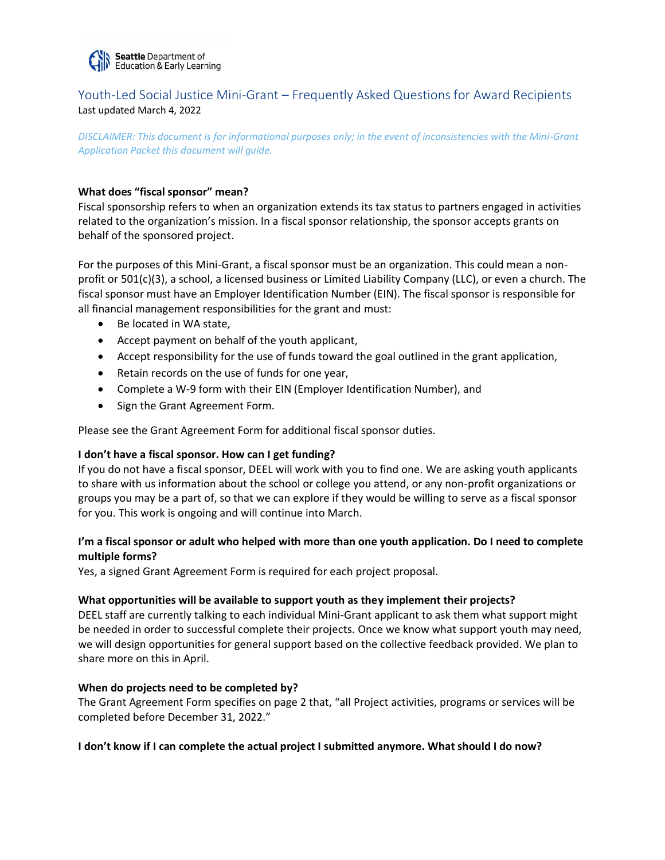

# Youth-Led Social Justice Mini-Grant – Frequently Asked Questions for Award Recipients Last updated March 4, 2022

*DISCLAIMER: This document is for informational purposes only; in the event of inconsistencies with the Mini-Grant Application Packet this document will guide.*

### **What does "fiscal sponsor" mean?**

Fiscal sponsorship refers to when an organization extends its tax status to partners engaged in activities related to the organization's mission. In a fiscal sponsor relationship, the sponsor accepts grants on behalf of the sponsored project.

For the purposes of this Mini-Grant, a fiscal sponsor must be an organization. This could mean a nonprofit or 501(c)(3), a school, a licensed business or Limited Liability Company (LLC), or even a church. The fiscal sponsor must have an Employer Identification Number (EIN). The fiscal sponsor is responsible for all financial management responsibilities for the grant and must:

- Be located in WA state,
- Accept payment on behalf of the youth applicant,
- Accept responsibility for the use of funds toward the goal outlined in the grant application,
- Retain records on the use of funds for one year,
- Complete a W-9 form with their EIN (Employer Identification Number), and
- Sign the Grant Agreement Form.

Please see the Grant Agreement Form for additional fiscal sponsor duties.

#### **I don't have a fiscal sponsor. How can I get funding?**

If you do not have a fiscal sponsor, DEEL will work with you to find one. We are asking youth applicants to share with us information about the school or college you attend, or any non-profit organizations or groups you may be a part of, so that we can explore if they would be willing to serve as a fiscal sponsor for you. This work is ongoing and will continue into March.

## **I'm a fiscal sponsor or adult who helped with more than one youth application. Do I need to complete multiple forms?**

Yes, a signed Grant Agreement Form is required for each project proposal.

#### **What opportunities will be available to support youth as they implement their projects?**

DEEL staff are currently talking to each individual Mini-Grant applicant to ask them what support might be needed in order to successful complete their projects. Once we know what support youth may need, we will design opportunities for general support based on the collective feedback provided. We plan to share more on this in April.

#### **When do projects need to be completed by?**

The Grant Agreement Form specifies on page 2 that, "all Project activities, programs or services will be completed before December 31, 2022."

#### **I don't know if I can complete the actual project I submitted anymore. What should I do now?**